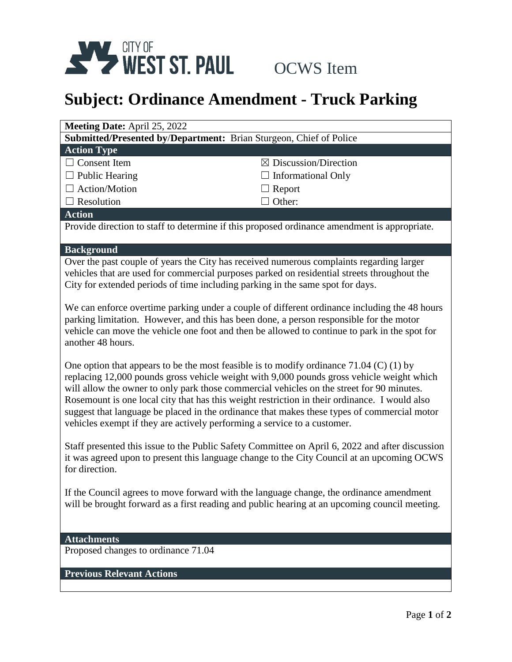

## **Subject: Ordinance Amendment - Truck Parking**

| Submitted/Presented by/Department: Brian Sturgeon, Chief of Police<br><b>Action Type</b><br>$\Box$ Consent Item<br>$\boxtimes$ Discussion/Direction<br>$\Box$ Public Hearing<br><b>Informational Only</b><br>$\Box$ Action/Motion<br>$\Box$ Report<br>Other:<br>$\Box$ Resolution<br><b>Action</b><br>Provide direction to staff to determine if this proposed ordinance amendment is appropriate.<br><b>Background</b><br>Over the past couple of years the City has received numerous complaints regarding larger<br>vehicles that are used for commercial purposes parked on residential streets throughout the<br>City for extended periods of time including parking in the same spot for days.<br>We can enforce overtime parking under a couple of different ordinance including the 48 hours<br>parking limitation. However, and this has been done, a person responsible for the motor<br>vehicle can move the vehicle one foot and then be allowed to continue to park in the spot for<br>another 48 hours.<br>One option that appears to be the most feasible is to modify ordinance $71.04$ (C) (1) by<br>replacing 12,000 pounds gross vehicle weight with 9,000 pounds gross vehicle weight which<br>will allow the owner to only park those commercial vehicles on the street for 90 minutes.<br>Rosemount is one local city that has this weight restriction in their ordinance. I would also<br>suggest that language be placed in the ordinance that makes these types of commercial motor<br>vehicles exempt if they are actively performing a service to a customer.<br>Staff presented this issue to the Public Safety Committee on April 6, 2022 and after discussion<br>it was agreed upon to present this language change to the City Council at an upcoming OCWS<br>for direction.<br>If the Council agrees to move forward with the language change, the ordinance amendment<br>will be brought forward as a first reading and public hearing at an upcoming council meeting.<br><b>Attachments</b><br>Proposed changes to ordinance 71.04<br><b>Previous Relevant Actions</b> | Meeting Date: April 25, 2022 |  |  |
|----------------------------------------------------------------------------------------------------------------------------------------------------------------------------------------------------------------------------------------------------------------------------------------------------------------------------------------------------------------------------------------------------------------------------------------------------------------------------------------------------------------------------------------------------------------------------------------------------------------------------------------------------------------------------------------------------------------------------------------------------------------------------------------------------------------------------------------------------------------------------------------------------------------------------------------------------------------------------------------------------------------------------------------------------------------------------------------------------------------------------------------------------------------------------------------------------------------------------------------------------------------------------------------------------------------------------------------------------------------------------------------------------------------------------------------------------------------------------------------------------------------------------------------------------------------------------------------------------------------------------------------------------------------------------------------------------------------------------------------------------------------------------------------------------------------------------------------------------------------------------------------------------------------------------------------------------------------------------------------------------------------------------------------------------------------------------------------------------------|------------------------------|--|--|
|                                                                                                                                                                                                                                                                                                                                                                                                                                                                                                                                                                                                                                                                                                                                                                                                                                                                                                                                                                                                                                                                                                                                                                                                                                                                                                                                                                                                                                                                                                                                                                                                                                                                                                                                                                                                                                                                                                                                                                                                                                                                                                          |                              |  |  |
|                                                                                                                                                                                                                                                                                                                                                                                                                                                                                                                                                                                                                                                                                                                                                                                                                                                                                                                                                                                                                                                                                                                                                                                                                                                                                                                                                                                                                                                                                                                                                                                                                                                                                                                                                                                                                                                                                                                                                                                                                                                                                                          |                              |  |  |
|                                                                                                                                                                                                                                                                                                                                                                                                                                                                                                                                                                                                                                                                                                                                                                                                                                                                                                                                                                                                                                                                                                                                                                                                                                                                                                                                                                                                                                                                                                                                                                                                                                                                                                                                                                                                                                                                                                                                                                                                                                                                                                          |                              |  |  |
|                                                                                                                                                                                                                                                                                                                                                                                                                                                                                                                                                                                                                                                                                                                                                                                                                                                                                                                                                                                                                                                                                                                                                                                                                                                                                                                                                                                                                                                                                                                                                                                                                                                                                                                                                                                                                                                                                                                                                                                                                                                                                                          |                              |  |  |
|                                                                                                                                                                                                                                                                                                                                                                                                                                                                                                                                                                                                                                                                                                                                                                                                                                                                                                                                                                                                                                                                                                                                                                                                                                                                                                                                                                                                                                                                                                                                                                                                                                                                                                                                                                                                                                                                                                                                                                                                                                                                                                          |                              |  |  |
|                                                                                                                                                                                                                                                                                                                                                                                                                                                                                                                                                                                                                                                                                                                                                                                                                                                                                                                                                                                                                                                                                                                                                                                                                                                                                                                                                                                                                                                                                                                                                                                                                                                                                                                                                                                                                                                                                                                                                                                                                                                                                                          |                              |  |  |
|                                                                                                                                                                                                                                                                                                                                                                                                                                                                                                                                                                                                                                                                                                                                                                                                                                                                                                                                                                                                                                                                                                                                                                                                                                                                                                                                                                                                                                                                                                                                                                                                                                                                                                                                                                                                                                                                                                                                                                                                                                                                                                          |                              |  |  |
|                                                                                                                                                                                                                                                                                                                                                                                                                                                                                                                                                                                                                                                                                                                                                                                                                                                                                                                                                                                                                                                                                                                                                                                                                                                                                                                                                                                                                                                                                                                                                                                                                                                                                                                                                                                                                                                                                                                                                                                                                                                                                                          |                              |  |  |
|                                                                                                                                                                                                                                                                                                                                                                                                                                                                                                                                                                                                                                                                                                                                                                                                                                                                                                                                                                                                                                                                                                                                                                                                                                                                                                                                                                                                                                                                                                                                                                                                                                                                                                                                                                                                                                                                                                                                                                                                                                                                                                          |                              |  |  |
|                                                                                                                                                                                                                                                                                                                                                                                                                                                                                                                                                                                                                                                                                                                                                                                                                                                                                                                                                                                                                                                                                                                                                                                                                                                                                                                                                                                                                                                                                                                                                                                                                                                                                                                                                                                                                                                                                                                                                                                                                                                                                                          |                              |  |  |
|                                                                                                                                                                                                                                                                                                                                                                                                                                                                                                                                                                                                                                                                                                                                                                                                                                                                                                                                                                                                                                                                                                                                                                                                                                                                                                                                                                                                                                                                                                                                                                                                                                                                                                                                                                                                                                                                                                                                                                                                                                                                                                          |                              |  |  |
|                                                                                                                                                                                                                                                                                                                                                                                                                                                                                                                                                                                                                                                                                                                                                                                                                                                                                                                                                                                                                                                                                                                                                                                                                                                                                                                                                                                                                                                                                                                                                                                                                                                                                                                                                                                                                                                                                                                                                                                                                                                                                                          |                              |  |  |
|                                                                                                                                                                                                                                                                                                                                                                                                                                                                                                                                                                                                                                                                                                                                                                                                                                                                                                                                                                                                                                                                                                                                                                                                                                                                                                                                                                                                                                                                                                                                                                                                                                                                                                                                                                                                                                                                                                                                                                                                                                                                                                          |                              |  |  |
|                                                                                                                                                                                                                                                                                                                                                                                                                                                                                                                                                                                                                                                                                                                                                                                                                                                                                                                                                                                                                                                                                                                                                                                                                                                                                                                                                                                                                                                                                                                                                                                                                                                                                                                                                                                                                                                                                                                                                                                                                                                                                                          |                              |  |  |
|                                                                                                                                                                                                                                                                                                                                                                                                                                                                                                                                                                                                                                                                                                                                                                                                                                                                                                                                                                                                                                                                                                                                                                                                                                                                                                                                                                                                                                                                                                                                                                                                                                                                                                                                                                                                                                                                                                                                                                                                                                                                                                          |                              |  |  |
|                                                                                                                                                                                                                                                                                                                                                                                                                                                                                                                                                                                                                                                                                                                                                                                                                                                                                                                                                                                                                                                                                                                                                                                                                                                                                                                                                                                                                                                                                                                                                                                                                                                                                                                                                                                                                                                                                                                                                                                                                                                                                                          |                              |  |  |
|                                                                                                                                                                                                                                                                                                                                                                                                                                                                                                                                                                                                                                                                                                                                                                                                                                                                                                                                                                                                                                                                                                                                                                                                                                                                                                                                                                                                                                                                                                                                                                                                                                                                                                                                                                                                                                                                                                                                                                                                                                                                                                          |                              |  |  |